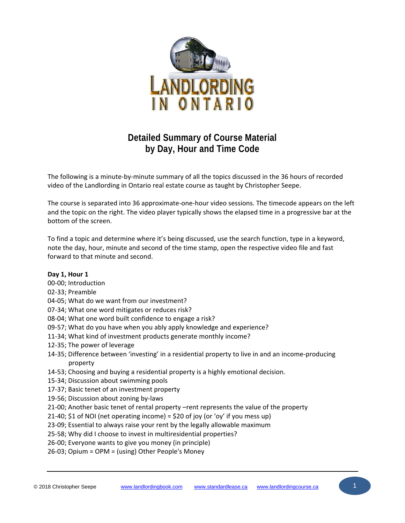

# **Detailed Summary of Course Material by Day, Hour and Time Code**

The following is a minute‐by‐minute summary of all the topics discussed in the 36 hours of recorded video of the Landlording in Ontario real estate course as taught by Christopher Seepe.

The course is separated into 36 approximate‐one‐hour video sessions. The timecode appears on the left and the topic on the right. The video player typically shows the elapsed time in a progressive bar at the bottom of the screen.

To find a topic and determine where it's being discussed, use the search function, type in a keyword, note the day, hour, minute and second of the time stamp, open the respective video file and fast forward to that minute and second.

## **Day 1, Hour 1**

- 00‐00; Introduction
- 02‐33; Preamble
- 04‐05; What do we want from our investment?
- 07‐34; What one word mitigates or reduces risk?
- 08‐04; What one word built confidence to engage a risk?
- 09‐57; What do you have when you ably apply knowledge and experience?
- 11‐34; What kind of investment products generate monthly income?
- 12‐35; The power of leverage
- 14‐35; Difference between 'investing' in a residential property to live in and an income‐producing property
- 14‐53; Choosing and buying a residential property is a highly emotional decision.
- 15‐34; Discussion about swimming pools
- 17‐37; Basic tenet of an investment property
- 19‐56; Discussion about zoning by‐laws
- 21‐00; Another basic tenet of rental property –rent represents the value of the property
- 21-40; \$1 of NOI (net operating income) = \$20 of joy (or 'oy' if you mess up)
- 23‐09; Essential to always raise your rent by the legally allowable maximum
- 25‐58; Why did I choose to invest in multiresidential properties?
- 26‐00; Everyone wants to give you money (in principle)
- 26‐03; Opium = OPM = (using) Other People's Money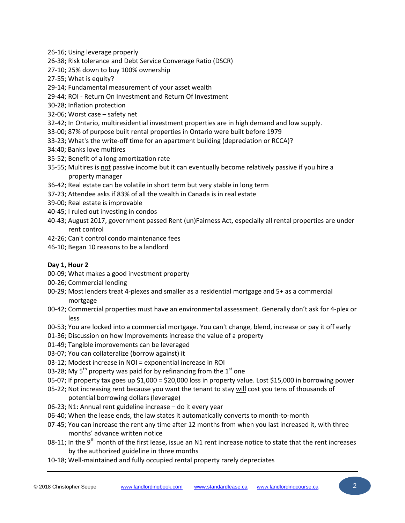- ‐16; Using leverage properly
- ‐38; Risk tolerance and Debt Service Converage Ratio (DSCR)
- ‐10; 25% down to buy 100% ownership
- ‐55; What is equity?
- ‐14; Fundamental measurement of your asset wealth
- ‐44; ROI ‐ Return On Investment and Return Of Investment
- ‐28; Inflation protection
- ‐06; Worst case safety net
- ‐42; In Ontario, multiresidential investment properties are in high demand and low supply.
- ‐00; 87% of purpose built rental properties in Ontario were built before 1979
- ‐23; What's the write‐off time for an apartment building (depreciation or RCCA)?
- 34:40; Banks love multires
- ‐52; Benefit of a long amortization rate
- 35-55; Multires is not passive income but it can eventually become relatively passive if you hire a property manager
- ‐42; Real estate can be volatile in short term but very stable in long term
- ‐23; Attendee asks if 83% of all the wealth in Canada is in real estate
- ‐00; Real estate is improvable
- ‐45; I ruled out investing in condos
- ‐43; August 2017, government passed Rent (un)Fairness Act, especially all rental properties are under rent control
- ‐26; Can't control condo maintenance fees
- ‐10; Began 10 reasons to be a landlord

## **Day 1, Hour 2**

- ‐09; What makes a good investment property
- ‐26; Commercial lending
- ‐29; Most lenders treat 4‐plexes and smaller as a residential mortgage and 5+ as a commercial mortgage
- ‐42; Commercial properties must have an environmental assessment. Generally don't ask for 4‐plex or less
- 00-53; You are locked into a commercial mortgage. You can't change, blend, increase or pay it off early
- ‐36; Discussion on how Improvements increase the value of a property
- ‐49; Tangible improvements can be leveraged
- ‐07; You can collateralize (borrow against) it
- ‐12; Modest increase in NOI = exponential increase in ROI
- 03-28; My 5<sup>th</sup> property was paid for by refinancing from the 1<sup>st</sup> one
- ‐07; If property tax goes up \$1,000 = \$20,000 loss in property value. Lost \$15,000 in borrowing power
- 05-22; Not increasing rent because you want the tenant to stay will cost you tens of thousands of potential borrowing dollars (leverage)
- ‐23; N1: Annual rent guideline increase do it every year
- ‐40; When the lease ends, the law states it automatically converts to month‐to‐month
- 07-45; You can increase the rent any time after 12 months from when you last increased it, with three months' advance written notice
- 08-11; In the 9<sup>th</sup> month of the first lease, issue an N1 rent increase notice to state that the rent increases by the authorized guideline in three months
- ‐18; Well‐maintained and fully occupied rental property rarely depreciates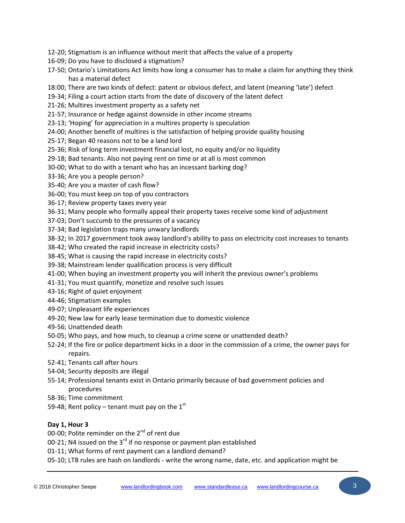- ‐20; Stigmatism is an influence without merit that affects the value of a property
- ‐09; Do you have to disclosed a stigmatism?
- 17-50; Ontario's Limitations Act limits how long a consumer has to make a claim for anything they think has a material defect
- 18:00; There are two kinds of defect: patent or obvious defect, and latent (meaning 'late') defect
- ‐34; Filing a court action starts from the date of discovery of the latent defect
- ‐26; Multires investment property as a safety net
- ‐57; Insurance or hedge against downside in other income streams
- ‐13; 'Hoping' for appreciation in a multires property is speculation
- ‐00; Another benefit of multires is the satisfaction of helping provide quality housing
- ‐17; Began 40 reasons not to be a land lord
- ‐36; Risk of long term investment financial lost, no equity and/or no liquidity
- ‐18; Bad tenants. Also not paying rent on time or at all is most common
- ‐00; What to do with a tenant who has an incessant barking dog?
- ‐36; Are you a people person?
- ‐40; Are you a master of cash flow?
- ‐00; You must keep on top of you contractors
- ‐17; Review property taxes every year
- ‐31; Many people who formally appeal their property taxes receive some kind of adjustment
- ‐03; Don't succumb to the pressures of a vacancy
- ‐34; Bad legislation traps many unwary landlords
- ‐32; In 2017 government took away landlord's ability to pass on electricity cost increases to tenants
- ‐42; Who created the rapid increase in electricity costs?
- ‐45; What is causing the rapid increase in electricity costs?
- ‐38; Mainstream lender qualification process is very difficult
- ‐00; When buying an investment property you will inherit the previous owner's problems
- ‐31; You must quantify, monetize and resolve such issues
- ‐16; Right of quiet enjoyment
- ‐46; Stigmatism examples
- ‐07; Unpleasant life experiences
- ‐20; New law for early lease termination due to domestic violence
- ‐56; Unattended death
- ‐05; Who pays, and how much, to cleanup a crime scene or unattended death?
- ‐24; If the fire or police department kicks in a door in the commission of a crime, the owner pays for repairs.
- ‐41; Tenants call after hours
- ‐04; Security deposits are illegal
- 55-14; Professional tenants exist in Ontario primarily because of bad government policies and procedures
- ‐36; Time commitment
- 59-48; Rent policy tenant must pay on the  $1<sup>st</sup>$

# **Day 1, Hour 3**

00-00; Polite reminder on the 2<sup>nd</sup> of rent due

00-21; N4 issued on the  $3^{rd}$  if no response or payment plan established

- ‐11; What forms of rent payment can a landlord demand?
- ‐10; LTB rules are hash on landlords ‐ write the wrong name, date, etc. and application might be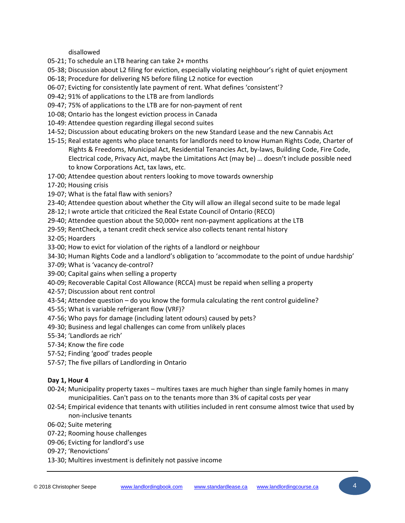disallowed

- ‐21; To schedule an LTB hearing can take 2+ months
- 05-38; Discussion about L2 filing for eviction, especially violating neighbour's right of quiet enjoyment
- ‐18; Procedure for delivering N5 before filing L2 notice for evection
- ‐07; Evicting for consistently late payment of rent. What defines 'consistent'?
- ‐42; 91% of applications to the LTB are from landlords
- ‐47; 75% of applications to the LTB are for non‐payment of rent
- ‐08; Ontario has the longest eviction process in Canada
- ‐49: Attendee question regarding illegal second suites
- ‐52; Discussion about educating brokers on the new Standard Lease and the new Cannabis Act
- 15-15; Real estate agents who place tenants for landlords need to know Human Rights Code, Charter of Rights & Freedoms, Municipal Act, Residential Tenancies Act, by‐laws, Building Code, Fire Code, Electrical code, Privacy Act, maybe the Limitations Act (may be) … doesn't include possible need to know Corporations Act, tax laws, etc.
- ‐00; Attendee question about renters looking to move towards ownership

‐20; Housing crisis

- ‐07; What is the fatal flaw with seniors?
- ‐40; Attendee question about whether the City will allow an illegal second suite to be made legal
- ‐12; I wrote article that criticized the Real Estate Council of Ontario (RECO)
- ‐40; Attendee question about the 50,000+ rent non‐payment applications at the LTB
- ‐59; RentCheck, a tenant credit check service also collects tenant rental history

‐05; Hoarders

- ‐00; How to evict for violation of the rights of a landlord or neighbour
- ‐30; Human Rights Code and a landlord's obligation to 'accommodate to the point of undue hardship'
- ‐09; What is 'vacancy de‐control?
- ‐00; Capital gains when selling a property
- ‐09; Recoverable Capital Cost Allowance (RCCA) must be repaid when selling a property
- ‐57; Discussion about rent control
- ‐54; Attendee question do you know the formula calculating the rent control guideline?
- ‐55; What is variable refrigerant flow (VRF)?
- 47-56; Who pays for damage (including latent odours) caused by pets?
- ‐30; Business and legal challenges can come from unlikely places
- ‐34; 'Landlords ae rich'
- ‐34; Know the fire code
- ‐52; Finding 'good' trades people
- ‐57; The five pillars of Landlording in Ontario

## **Day 1, Hour 4**

- 00-24; Municipality property taxes multires taxes are much higher than single family homes in many municipalities. Can't pass on to the tenants more than 3% of capital costs per year
- 02-54; Empirical evidence that tenants with utilities included in rent consume almost twice that used by non‐inclusive tenants
- ‐02; Suite metering
- ‐22; Rooming house challenges
- ‐06; Evicting for landlord's use
- ‐27; 'Renovictions'
- ‐30; Multires investment is definitely not passive income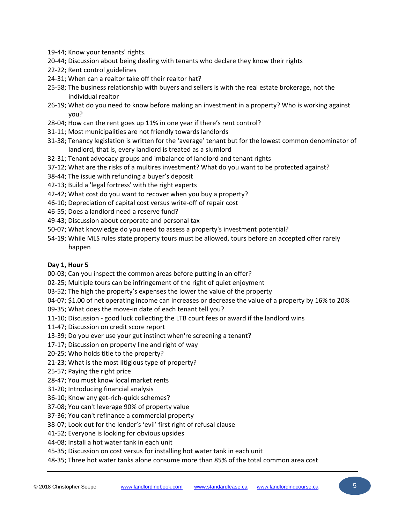- ‐44; Know your tenants' rights.
- ‐44; Discussion about being dealing with tenants who declare they know their rights
- ‐22; Rent control guidelines
- ‐31; When can a realtor take off their realtor hat?
- 25-58; The business relationship with buyers and sellers is with the real estate brokerage, not the individual realtor
- ‐19; What do you need to know before making an investment in a property? Who is working against you?
- ‐04; How can the rent goes up 11% in one year if there's rent control?
- ‐11; Most municipalities are not friendly towards landlords
- ‐38; Tenancy legislation is written for the 'average' tenant but for the lowest common denominator of landlord, that is, every landlord is treated as a slumlord
- ‐31; Tenant advocacy groups and imbalance of landlord and tenant rights
- ‐12; What are the risks of a multires investment? What do you want to be protected against?
- ‐44; The issue with refunding a buyer's deposit
- ‐13; Build a 'legal fortress' with the right experts
- 42-42; What cost do you want to recover when you buy a property?
- ‐10; Depreciation of capital cost versus write‐off of repair cost
- ‐55; Does a landlord need a reserve fund?
- ‐43; Discussion about corporate and personal tax
- ‐07; What knowledge do you need to assess a property's investment potential?
- 54-19; While MLS rules state property tours must be allowed, tours before an accepted offer rarely happen

#### **Day 1, Hour 5**

‐03; Can you inspect the common areas before putting in an offer?

- ‐25; Multiple tours can be infringement of the right of quiet enjoyment
- 03-52; The high the property's expenses the lower the value of the property
- ‐07; \$1.00 of net operating income can increases or decrease the value of a property by 16% to 20%
- ‐35; What does the move‐in date of each tenant tell you?
- 11-10; Discussion good luck collecting the LTB court fees or award if the landlord wins
- ‐47; Discussion on credit score report
- ‐39; Do you ever use your gut instinct when're screening a tenant?
- ‐17; Discussion on property line and right of way
- ‐25; Who holds title to the property?
- ‐23; What is the most litigious type of property?
- ‐57; Paying the right price
- ‐47; You must know local market rents
- ‐20; Introducing financial analysis
- ‐10; Know any get‐rich‐quick schemes?
- ‐08; You can't leverage 90% of property value
- ‐36; You can't refinance a commercial property
- ‐07; Look out for the lender's 'evil' first right of refusal clause
- ‐52; Everyone is looking for obvious upsides
- ‐08; Install a hot water tank in each unit
- ‐35; Discussion on cost versus for installing hot water tank in each unit
- ‐35; Three hot water tanks alone consume more than 85% of the total common area cost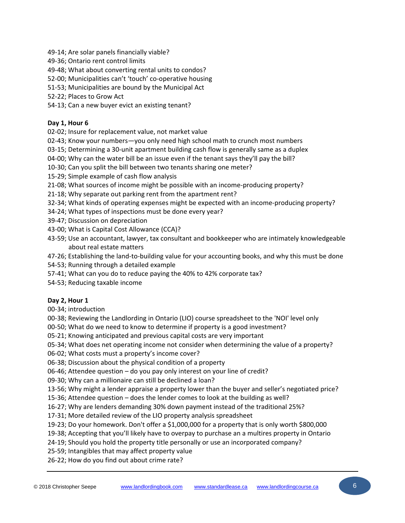‐14; Are solar panels financially viable?

- ‐36; Ontario rent control limits
- ‐48; What about converting rental units to condos?
- ‐00; Municipalities can't 'touch' co‐operative housing
- ‐53; Municipalities are bound by the Municipal Act
- ‐22; Places to Grow Act
- ‐13; Can a new buyer evict an existing tenant?

## **Day 1, Hour 6**

‐02; Insure for replacement value, not market value

- 02-43; Know your numbers-you only need high school math to crunch most numbers
- ‐15; Determining a 30‐unit apartment building cash flow is generally same as a duplex
- ‐00; Why can the water bill be an issue even if the tenant says they'll pay the bill?
- ‐30; Can you split the bill between two tenants sharing one meter?
- ‐29; Simple example of cash flow analysis
- ‐08; What sources of income might be possible with an income‐producing property?
- ‐18; Why separate out parking rent from the apartment rent?
- 32-34; What kinds of operating expenses might be expected with an income-producing property?
- ‐24; What types of inspections must be done every year?
- ‐47; Discussion on depreciation
- ‐00; What is Capital Cost Allowance (CCA)?
- ‐59; Use an accountant, lawyer, tax consultant and bookkeeper who are intimately knowledgeable about real estate matters
- ‐26; Establishing the land‐to‐building value for your accounting books, and why this must be done
- ‐53; Running through a detailed example
- ‐41; What can you do to reduce paying the 40% to 42% corporate tax?
- ‐53; Reducing taxable income

# **Day 2, Hour 1**

‐34; introduction

- ‐38; Reviewing the Landlording in Ontario (LIO) course spreadsheet to the 'NOI' level only
- 00-50; What do we need to know to determine if property is a good investment?
- ‐21; Knowing anticipated and previous capital costs are very important
- 05-34; What does net operating income not consider when determining the value of a property?
- ‐02; What costs must a property's income cover?
- ‐38; Discussion about the physical condition of a property
- ‐46; Attendee question do you pay only interest on your line of credit?
- ‐30; Why can a millionaire can still be declined a loan?
- ‐56; Why might a lender appraise a property lower than the buyer and seller's negotiated price?
- ‐36; Attendee question does the lender comes to look at the building as well?
- 16-27; Why are lenders demanding 30% down payment instead of the traditional 25%?
- ‐31; More detailed review of the LIO property analysis spreadsheet
- ‐23; Do your homework. Don't offer a \$1,000,000 for a property that is only worth \$800,000
- ‐38; Accepting that you'll likely have to overpay to purchase an a multires property in Ontario
- 24-19; Should you hold the property title personally or use an incorporated company?
- ‐59; Intangibles that may affect property value
- ‐22; How do you find out about crime rate?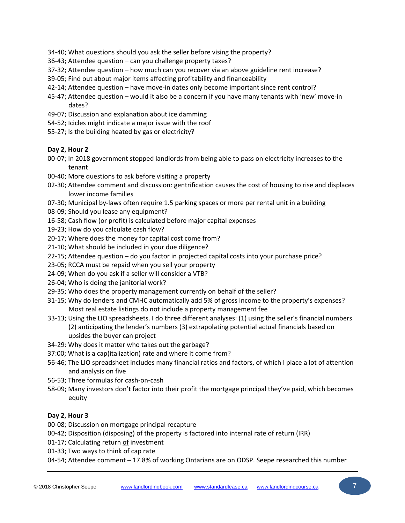- ‐40; What questions should you ask the seller before vising the property?
- ‐43; Attendee question can you challenge property taxes?
- ‐32; Attendee question how much can you recover via an above guideline rent increase?
- ‐05; Find out about major items affecting profitability and financeability
- ‐14; Attendee question have move‐in dates only become important since rent control?
- ‐47; Attendee question would it also be a concern if you have many tenants with 'new' move‐in dates?
- ‐07; Discussion and explanation about ice damming
- ‐52; Icicles might indicate a major issue with the roof
- ‐27; Is the building heated by gas or electricity?

#### **Day 2, Hour 2**

- ‐07; In 2018 government stopped landlords from being able to pass on electricity increases to the tenant
- ‐40; More questions to ask before visiting a property
- 02-30; Attendee comment and discussion: gentrification causes the cost of housing to rise and displaces lower income families
- 07-30; Municipal by-laws often require 1.5 parking spaces or more per rental unit in a building
- ‐09; Should you lease any equipment?
- ‐58; Cash flow (or profit) is calculated before major capital expenses
- ‐23; How do you calculate cash flow?
- ‐17; Where does the money for capital cost come from?
- ‐10; What should be included in your due diligence?
- ‐15; Attendee question do you factor in projected capital costs into your purchase price?
- ‐05; RCCA must be repaid when you sell your property
- ‐09; When do you ask if a seller will consider a VTB?
- ‐04; Who is doing the janitorial work?
- ‐35; Who does the property management currently on behalf of the seller?
- ‐15; Why do lenders and CMHC automatically add 5% of gross income to the property's expenses? Most real estate listings do not include a property management fee
- ‐13; Using the LIO spreadsheets. I do three different analyses: (1) using the seller's financial numbers (2) anticipating the lender's numbers (3) extrapolating potential actual financials based on upsides the buyer can project
- ‐29: Why does it matter who takes out the garbage?
- 37:00; What is a cap(italization) rate and where it come from?
- ‐46; The LIO spreadsheet includes many financial ratios and factors, of which I place a lot of attention and analysis on five
- ‐53; Three formulas for cash‐on‐cash
- ‐09; Many investors don't factor into their profit the mortgage principal they've paid, which becomes equity

## **Day 2, Hour 3**

- ‐08; Discussion on mortgage principal recapture
- ‐42; Disposition (disposing) of the property is factored into internal rate of return (IRR)
- ‐17; Calculating return of investment
- ‐33; Two ways to think of cap rate
- 04-54; Attendee comment 17.8% of working Ontarians are on ODSP. Seepe researched this number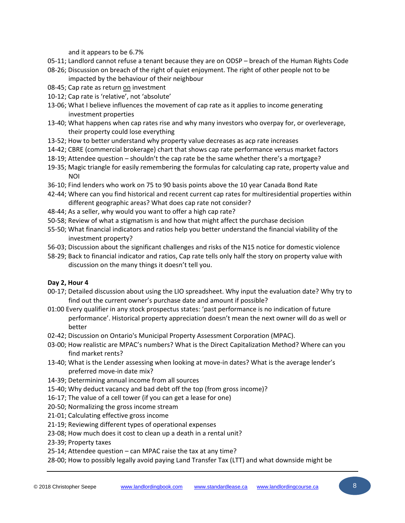and it appears to be 6.7%

- 05-11; Landlord cannot refuse a tenant because they are on ODSP breach of the Human Rights Code
- 08-26; Discussion on breach of the right of quiet enjoyment. The right of other people not to be impacted by the behaviour of their neighbour
- 08‐45; Cap rate as return on investment
- 10‐12; Cap rate is 'relative', not 'absolute'
- 13-06; What I believe influences the movement of cap rate as it applies to income generating investment properties
- 13‐40; What happens when cap rates rise and why many investors who overpay for, or overleverage, their property could lose everything
- 13‐52; How to better understand why property value decreases as acp rate increases
- 14‐42; CBRE (commercial brokerage) chart that shows cap rate performance versus market factors
- 18‐19; Attendee question shouldn't the cap rate be the same whether there's a mortgage?
- 19‐35; Magic triangle for easily remembering the formulas for calculating cap rate, property value and NOI
- 36‐10; Find lenders who work on 75 to 90 basis points above the 10 year Canada Bond Rate
- 42‐44; Where can you find historical and recent current cap rates for multiresidential properties within different geographic areas? What does cap rate not consider?
- 48‐44; As a seller, why would you want to offer a high cap rate?
- 50‐58; Review of what a stigmatism is and how that might affect the purchase decision
- 55‐50; What financial indicators and ratios help you better understand the financial viability of the investment property?
- 56‐03; Discussion about the significant challenges and risks of the N15 notice for domestic violence
- 58‐29; Back to financial indicator and ratios, Cap rate tells only half the story on property value with discussion on the many things it doesn't tell you.

# **Day 2, Hour 4**

- 00-17; Detailed discussion about using the LIO spreadsheet. Why input the evaluation date? Why try to find out the current owner's purchase date and amount if possible?
- 01:00 Every qualifier in any stock prospectus states: 'past performance is no indication of future performance'. Historical property appreciation doesn't mean the next owner will do as well or better
- 02‐42; Discussion on Ontario's Municipal Property Assessment Corporation (MPAC).
- 03‐00; How realistic are MPAC's numbers? What is the Direct Capitalization Method? Where can you find market rents?
- 13-40; What is the Lender assessing when looking at move-in dates? What is the average lender's preferred move-in date mix?
- 14‐39; Determining annual income from all sources
- 15‐40; Why deduct vacancy and bad debt off the top (from gross income)?
- 16‐17; The value of a cell tower (if you can get a lease for one)
- 20‐50; Normalizing the gross income stream
- 21‐01; Calculating effective gross income
- 21‐19; Reviewing different types of operational expenses
- 23‐08; How much does it cost to clean up a death in a rental unit?
- 23‐39; Property taxes
- 25‐14; Attendee question can MPAC raise the tax at any time?
- 28‐00; How to possibly legally avoid paying Land Transfer Tax (LTT) and what downside might be